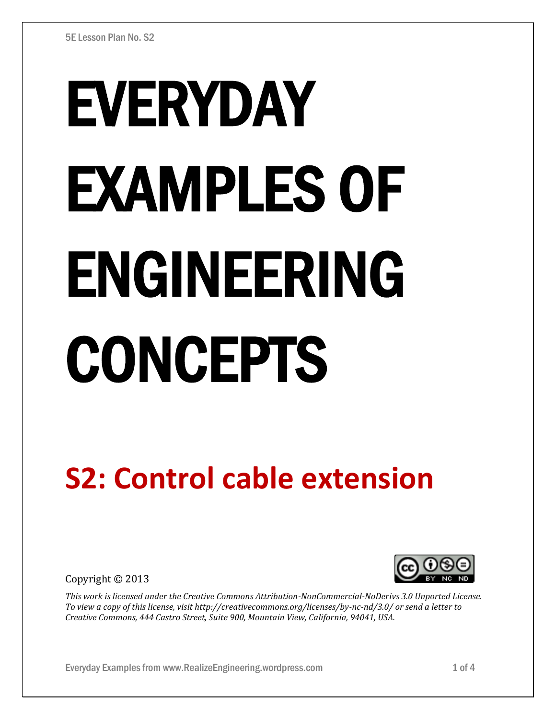# EVERYDAY EXAMPLES OF ENGINEERING CONCEPTS

# **S2: Control cable extension**

Copyright © 2013



*This work is licensed under the Creative Commons Attribution-NonCommercial-NoDerivs 3.0 Unported License. To view a copy of this license, visit http://creativecommons.org/licenses/by-nc-nd/3.0/ or send a letter to Creative Commons, 444 Castro Street, Suite 900, Mountain View, California, 94041, USA.*

Everyday Examples from www.RealizeEngineering.wordpress.com 1 of 4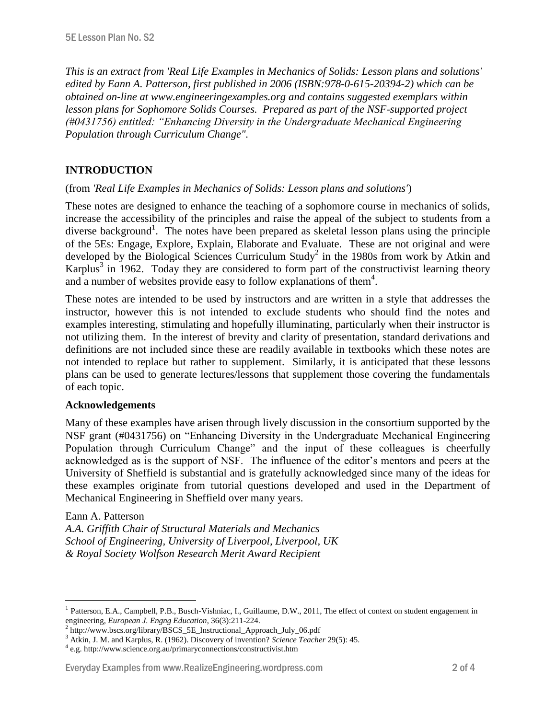*This is an extract from 'Real Life Examples in Mechanics of Solids: Lesson plans and solutions' edited by Eann A. Patterson, first published in 2006 (ISBN:978-0-615-20394-2) which can be obtained on-line at www.engineeringexamples.org and contains suggested exemplars within lesson plans for Sophomore Solids Courses. Prepared as part of the NSF-supported project (#0431756) entitled: "Enhancing Diversity in the Undergraduate Mechanical Engineering Population through Curriculum Change".* 

# **INTRODUCTION**

#### (from *'Real Life Examples in Mechanics of Solids: Lesson plans and solutions'*)

These notes are designed to enhance the teaching of a sophomore course in mechanics of solids, increase the accessibility of the principles and raise the appeal of the subject to students from a diverse background<sup>1</sup>. The notes have been prepared as skeletal lesson plans using the principle of the 5Es: Engage, Explore, Explain, Elaborate and Evaluate. These are not original and were developed by the Biological Sciences Curriculum Study<sup>2</sup> in the 1980s from work by Atkin and Karplus<sup>3</sup> in 1962. Today they are considered to form part of the constructivist learning theory and a number of websites provide easy to follow explanations of them<sup>4</sup>.

These notes are intended to be used by instructors and are written in a style that addresses the instructor, however this is not intended to exclude students who should find the notes and examples interesting, stimulating and hopefully illuminating, particularly when their instructor is not utilizing them. In the interest of brevity and clarity of presentation, standard derivations and definitions are not included since these are readily available in textbooks which these notes are not intended to replace but rather to supplement. Similarly, it is anticipated that these lessons plans can be used to generate lectures/lessons that supplement those covering the fundamentals of each topic.

#### **Acknowledgements**

Many of these examples have arisen through lively discussion in the consortium supported by the NSF grant (#0431756) on "Enhancing Diversity in the Undergraduate Mechanical Engineering Population through Curriculum Change" and the input of these colleagues is cheerfully acknowledged as is the support of NSF. The influence of the editor's mentors and peers at the University of Sheffield is substantial and is gratefully acknowledged since many of the ideas for these examples originate from tutorial questions developed and used in the Department of Mechanical Engineering in Sheffield over many years.

#### Eann A. Patterson

 $\overline{a}$ 

*A.A. Griffith Chair of Structural Materials and Mechanics School of Engineering, University of Liverpool, Liverpool, UK & Royal Society Wolfson Research Merit Award Recipient*

#### Everyday Examples from www.RealizeEngineering.wordpress.com 2 of 4

<sup>1</sup> Patterson, E.A., Campbell, P.B., Busch-Vishniac, I., Guillaume, D.W., 2011, The effect of context on student engagement in engineering, *European J. Engng Education*, 36(3):211-224.

<sup>&</sup>lt;sup>2</sup> http://www.bscs.org/library/BSCS\_5E\_Instructional\_Approach\_July\_06.pdf

<sup>3</sup> Atkin, J. M. and Karplus, R. (1962). Discovery of invention? *Science Teacher* 29(5): 45.

<sup>4</sup> e.g. http://www.science.org.au/primaryconnections/constructivist.htm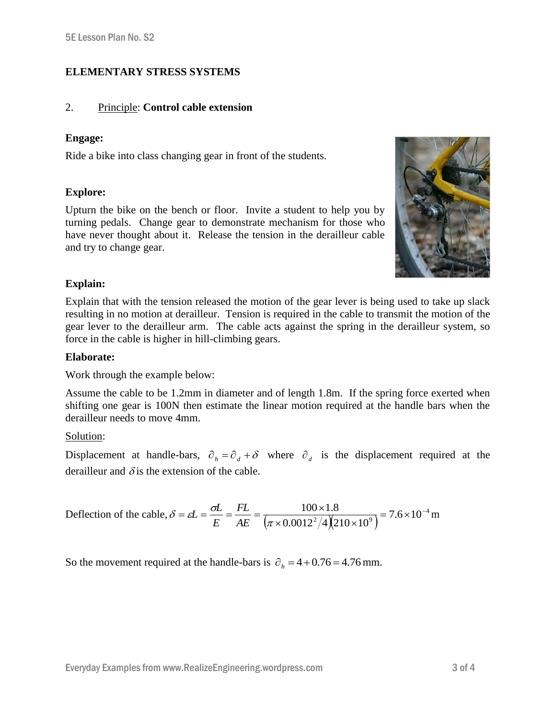# **ELEMENTARY STRESS SYSTEMS**

# 2. Principle: **Control cable extension**

## **Engage:**

Ride a bike into class changing gear in front of the students.

## **Explore:**

Upturn the bike on the bench or floor. Invite a student to help you by turning pedals. Change gear to demonstrate mechanism for those who have never thought about it. Release the tension in the derailleur cable and try to change gear.



# **Explain:**

Explain that with the tension released the motion of the gear lever is being used to take up slack resulting in no motion at derailleur. Tension is required in the cable to transmit the motion of the gear lever to the derailleur arm. The cable acts against the spring in the derailleur system, so force in the cable is higher in hill-climbing gears.

#### **Elaborate:**

Work through the example below:

Assume the cable to be 1.2mm in diameter and of length 1.8m. If the spring force exerted when shifting one gear is 100N then estimate the linear motion required at the handle bars when the derailleur needs to move 4mm.

Solution:

Displacement at handle-bars,  $\partial_h = \partial_d + \delta$  where  $\partial_d$  is the displacement required at the derailleur and  $\delta$  is the extension of the cable.

Definition of the cable, 
$$
\delta = \varepsilon L = \frac{\sigma L}{E} = \frac{FL}{AE} = \frac{100 \times 1.8}{(\pi \times 0.0012^2 / 4)(210 \times 10^9)} = 7.6 \times 10^{-4} \text{ m}
$$

So the movement required at the handle-bars is  $\partial_h = 4 + 0.76 = 4.76$  mm.